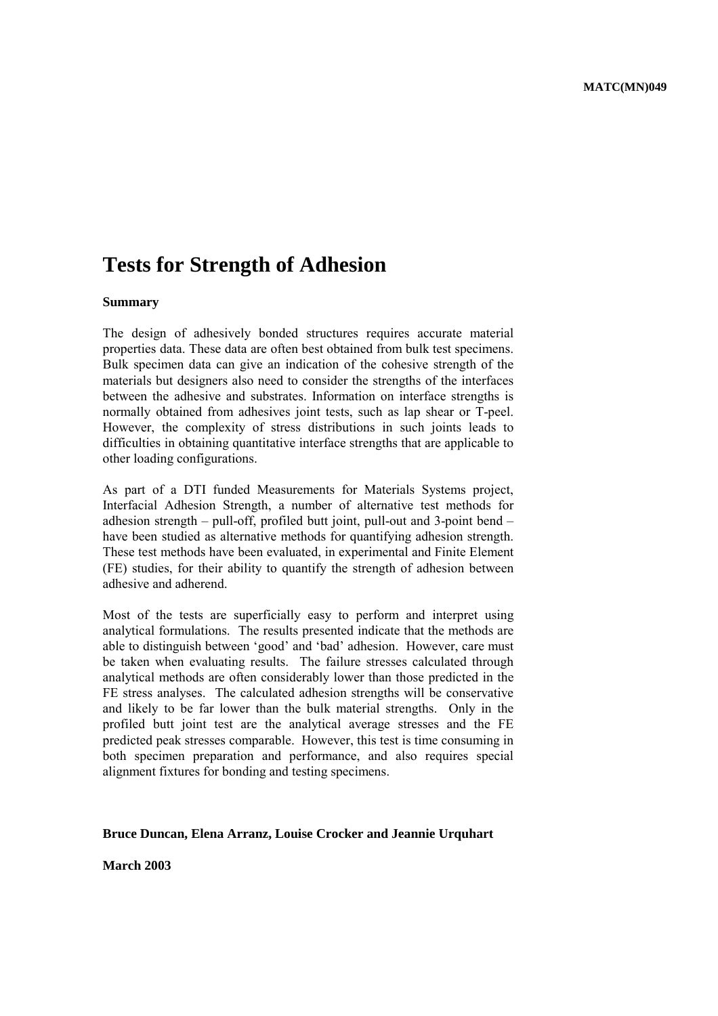# **Tests for Strength of Adhesion**

### **Summary**

The design of adhesively bonded structures requires accurate material properties data. These data are often best obtained from bulk test specimens. Bulk specimen data can give an indication of the cohesive strength of the materials but designers also need to consider the strengths of the interfaces between the adhesive and substrates. Information on interface strengths is normally obtained from adhesives joint tests, such as lap shear or T-peel. However, the complexity of stress distributions in such joints leads to difficulties in obtaining quantitative interface strengths that are applicable to other loading configurations.

As part of a DTI funded Measurements for Materials Systems project, Interfacial Adhesion Strength, a number of alternative test methods for adhesion strength  $-$  pull-off, profiled butt joint, pull-out and 3-point bend  $$ have been studied as alternative methods for quantifying adhesion strength. These test methods have been evaluated, in experimental and Finite Element (FE) studies, for their ability to quantify the strength of adhesion between adhesive and adherend.

Most of the tests are superficially easy to perform and interpret using analytical formulations. The results presented indicate that the methods are able to distinguish between 'good' and 'bad' adhesion. However, care must be taken when evaluating results. The failure stresses calculated through analytical methods are often considerably lower than those predicted in the FE stress analyses. The calculated adhesion strengths will be conservative and likely to be far lower than the bulk material strengths. Only in the profiled butt joint test are the analytical average stresses and the FE predicted peak stresses comparable. However, this test is time consuming in both specimen preparation and performance, and also requires special alignment fixtures for bonding and testing specimens.

#### **Bruce Duncan, Elena Arranz, Louise Crocker and Jeannie Urquhart**

**March 2003**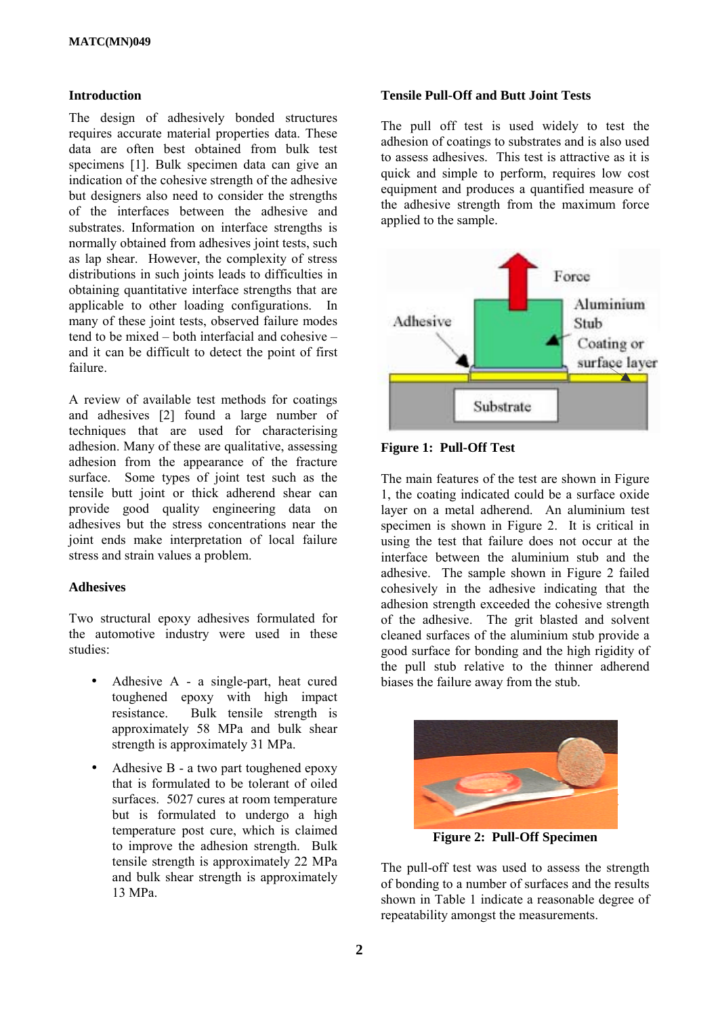# **Introduction**

The design of adhesively bonded structures requires accurate material properties data. These data are often best obtained from bulk test specimens [1]. Bulk specimen data can give an indication of the cohesive strength of the adhesive but designers also need to consider the strengths of the interfaces between the adhesive and substrates. Information on interface strengths is normally obtained from adhesives joint tests, such as lap shear. However, the complexity of stress distributions in such joints leads to difficulties in obtaining quantitative interface strengths that are applicable to other loading configurations. In many of these joint tests, observed failure modes tend to be mixed  $-$  both interfacial and cohesive  $$ and it can be difficult to detect the point of first failure.

A review of available test methods for coatings and adhesives [2] found a large number of techniques that are used for characterising adhesion. Many of these are qualitative, assessing adhesion from the appearance of the fracture surface. Some types of joint test such as the tensile butt joint or thick adherend shear can provide good quality engineering data on adhesives but the stress concentrations near the joint ends make interpretation of local failure stress and strain values a problem.

# **Adhesives**

Two structural epoxy adhesives formulated for the automotive industry were used in these studies:

- Adhesive A a single-part, heat cured toughened epoxy with high impact resistance. Bulk tensile strength is approximately 58 MPa and bulk shear strength is approximately 31 MPa.
- Adhesive B a two part toughened epoxy that is formulated to be tolerant of oiled surfaces. 5027 cures at room temperature but is formulated to undergo a high temperature post cure, which is claimed to improve the adhesion strength. Bulk tensile strength is approximately 22 MPa and bulk shear strength is approximately 13 MPa.

### **Tensile Pull-Off and Butt Joint Tests**

The pull off test is used widely to test the adhesion of coatings to substrates and is also used to assess adhesives. This test is attractive as it is quick and simple to perform, requires low cost equipment and produces a quantified measure of the adhesive strength from the maximum force applied to the sample.



**Figure 1: Pull-Off Test** 

The main features of the test are shown in Figure 1, the coating indicated could be a surface oxide layer on a metal adherend. An aluminium test specimen is shown in Figure 2. It is critical in using the test that failure does not occur at the interface between the aluminium stub and the adhesive. The sample shown in Figure 2 failed cohesively in the adhesive indicating that the adhesion strength exceeded the cohesive strength of the adhesive. The grit blasted and solvent cleaned surfaces of the aluminium stub provide a good surface for bonding and the high rigidity of the pull stub relative to the thinner adherend biases the failure away from the stub.



**Figure 2: Pull-Off Specimen** 

The pull-off test was used to assess the strength of bonding to a number of surfaces and the results shown in Table 1 indicate a reasonable degree of repeatability amongst the measurements.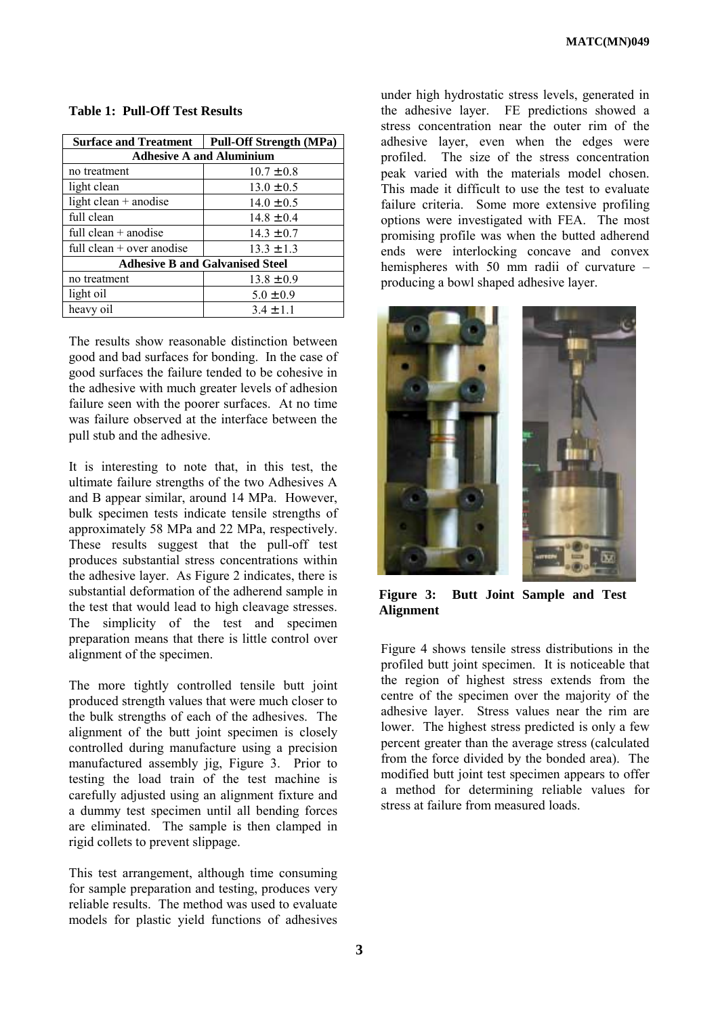| <b>Surface and Treatment</b>           | <b>Pull-Off Strength (MPa)</b> |
|----------------------------------------|--------------------------------|
| <b>Adhesive A and Aluminium</b>        |                                |
| no treatment                           | $10.7 \pm 0.8$                 |
| light clean                            | $13.0 \pm 0.5$                 |
| light clean $+$ anodise                | $14.0 \pm 0.5$                 |
| full clean                             | $14.8 \pm 0.4$                 |
| full clean $+$ anodise                 | $14.3 \pm 0.7$                 |
| full clean $+$ over anodise            | $13.3 \pm 1.3$                 |
| <b>Adhesive B and Galvanised Steel</b> |                                |
| no treatment                           | $13.8 \pm 0.9$                 |
| light oil                              | $5.0 \pm 0.9$                  |
| heavy oil                              | $3.4 \pm 1.1$                  |

**Table 1: Pull-Off Test Results**

The results show reasonable distinction between good and bad surfaces for bonding. In the case of good surfaces the failure tended to be cohesive in the adhesive with much greater levels of adhesion failure seen with the poorer surfaces. At no time was failure observed at the interface between the pull stub and the adhesive.

It is interesting to note that, in this test, the ultimate failure strengths of the two Adhesives A and B appear similar, around 14 MPa. However, bulk specimen tests indicate tensile strengths of approximately 58 MPa and 22 MPa, respectively. These results suggest that the pull-off test produces substantial stress concentrations within the adhesive layer. As Figure 2 indicates, there is substantial deformation of the adherend sample in the test that would lead to high cleavage stresses. The simplicity of the test and specimen preparation means that there is little control over alignment of the specimen.

The more tightly controlled tensile butt joint produced strength values that were much closer to the bulk strengths of each of the adhesives. The alignment of the butt joint specimen is closely controlled during manufacture using a precision manufactured assembly jig, Figure 3. Prior to testing the load train of the test machine is carefully adjusted using an alignment fixture and a dummy test specimen until all bending forces are eliminated. The sample is then clamped in rigid collets to prevent slippage.

This test arrangement, although time consuming for sample preparation and testing, produces very reliable results. The method was used to evaluate models for plastic yield functions of adhesives under high hydrostatic stress levels, generated in the adhesive layer. FE predictions showed a stress concentration near the outer rim of the adhesive layer, even when the edges were profiled. The size of the stress concentration peak varied with the materials model chosen. This made it difficult to use the test to evaluate failure criteria. Some more extensive profiling options were investigated with FEA. The most promising profile was when the butted adherend ends were interlocking concave and convex hemispheres with 50 mm radii of curvature  $$ producing a bowl shaped adhesive layer.



**Figure 3: Butt Joint Sample and Test Alignment**

Figure 4 shows tensile stress distributions in the profiled butt joint specimen. It is noticeable that the region of highest stress extends from the centre of the specimen over the majority of the adhesive layer. Stress values near the rim are lower. The highest stress predicted is only a few percent greater than the average stress (calculated from the force divided by the bonded area). The modified butt joint test specimen appears to offer a method for determining reliable values for stress at failure from measured loads.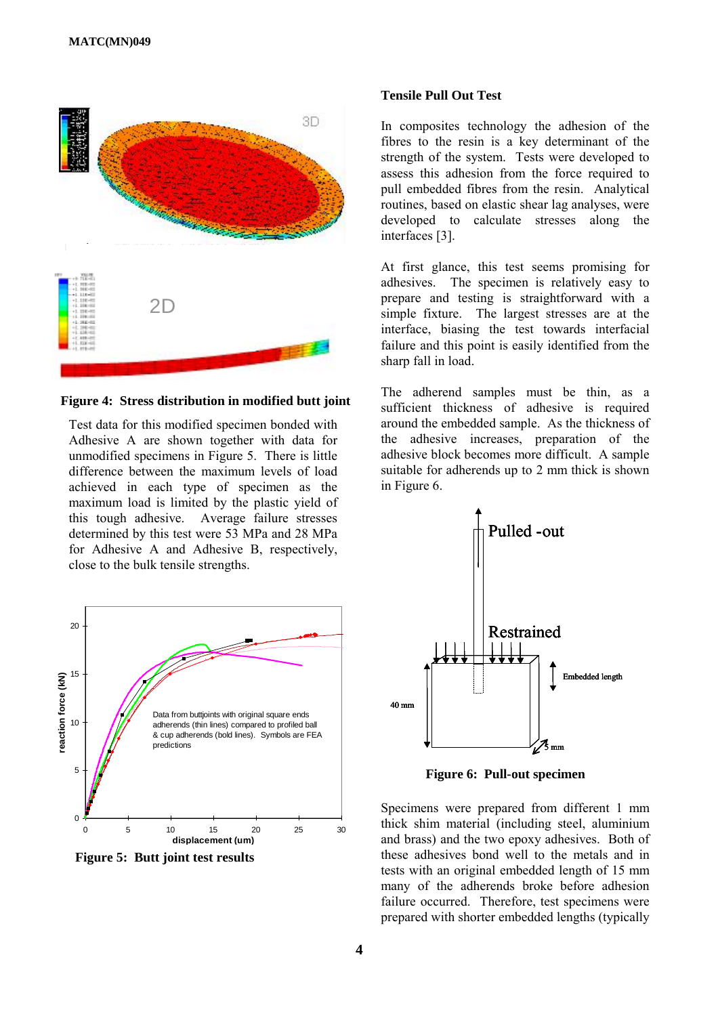

**Figure 4: Stress distribution in modified butt joint**

Test data for this modified specimen bonded with Adhesive A are shown together with data for unmodified specimens in Figure 5. There is little difference between the maximum levels of load achieved in each type of specimen as the maximum load is limited by the plastic yield of this tough adhesive. Average failure stresses determined by this test were 53 MPa and 28 MPa for Adhesive A and Adhesive B, respectively, close to the bulk tensile strengths.



**Figure 5: Butt joint test results**

#### **Tensile Pull Out Test**

In composites technology the adhesion of the fibres to the resin is a key determinant of the strength of the system. Tests were developed to assess this adhesion from the force required to pull embedded fibres from the resin. Analytical routines, based on elastic shear lag analyses, were developed to calculate stresses along the interfaces [3].

At first glance, this test seems promising for adhesives. The specimen is relatively easy to prepare and testing is straightforward with a simple fixture. The largest stresses are at the interface, biasing the test towards interfacial failure and this point is easily identified from the sharp fall in load.

The adherend samples must be thin, as a sufficient thickness of adhesive is required around the embedded sample. As the thickness of the adhesive increases, preparation of the adhesive block becomes more difficult. A sample suitable for adherends up to 2 mm thick is shown in Figure 6.



**Figure 6: Pull-out specimen**

Specimens were prepared from different 1 mm thick shim material (including steel, aluminium and brass) and the two epoxy adhesives. Both of these adhesives bond well to the metals and in tests with an original embedded length of 15 mm many of the adherends broke before adhesion failure occurred. Therefore, test specimens were prepared with shorter embedded lengths (typically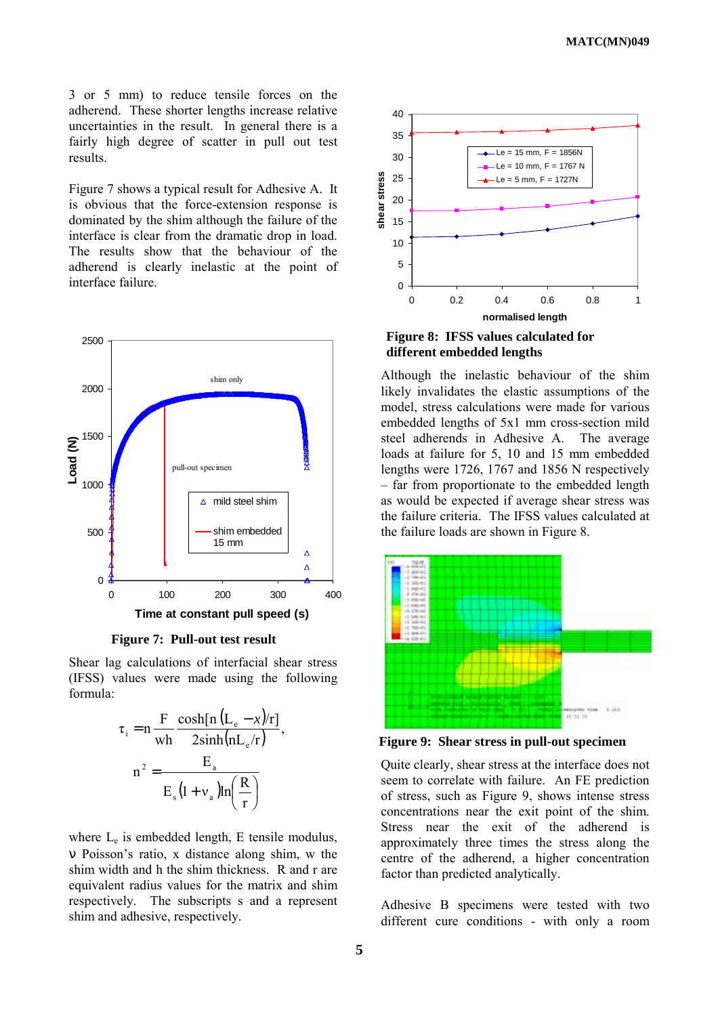3 or 5 mm) to reduce tensile forces on the adherend. These shorter lengths increase relative uncertainties in the result. In general there is a fairly high degree of scatter in pull out test results.

Figure 7 shows a typical result for Adhesive A. It is obvious that the force-extension response is dominated by the shim although the failure of the interface is clear from the dramatic drop in load. The results show that the behaviour of the adherend is clearly inelastic at the point of interface failure.



**Figure 7: Pull-out test result**

Shear lag calculations of interfacial shear stress (IFSS) values were made using the following formula:

$$
\tau_{i} = n \frac{F}{wh} \frac{\cosh[n (L_{e} - x)/r]}{2 \sinh(nL_{e}/r)},
$$

$$
n^{2} = \frac{E_{a}}{E_{s} (1 + v_{a}) ln\left(\frac{R}{r}\right)}
$$

where  $L_e$  is embedded length, E tensile modulus, ν Poissonís ratio, x distance along shim, w the shim width and h the shim thickness. R and r are equivalent radius values for the matrix and shim respectively. The subscripts s and a represent shim and adhesive, respectively.



**Figure 8: IFSS values calculated for different embedded lengths** 

Although the inelastic behaviour of the shim likely invalidates the elastic assumptions of the model, stress calculations were made for various embedded lengths of 5x1 mm cross-section mild steel adherends in Adhesive A. The average loads at failure for 5, 10 and 15 mm embedded lengths were 1726, 1767 and 1856 N respectively – far from proportionate to the embedded length as would be expected if average shear stress was the failure criteria. The IFSS values calculated at the failure loads are shown in Figure 8.



**Figure 9: Shear stress in pull-out specimen**

Quite clearly, shear stress at the interface does not seem to correlate with failure. An FE prediction of stress, such as Figure 9, shows intense stress concentrations near the exit point of the shim. Stress near the exit of the adherend is approximately three times the stress along the centre of the adherend, a higher concentration factor than predicted analytically.

Adhesive B specimens were tested with two different cure conditions - with only a room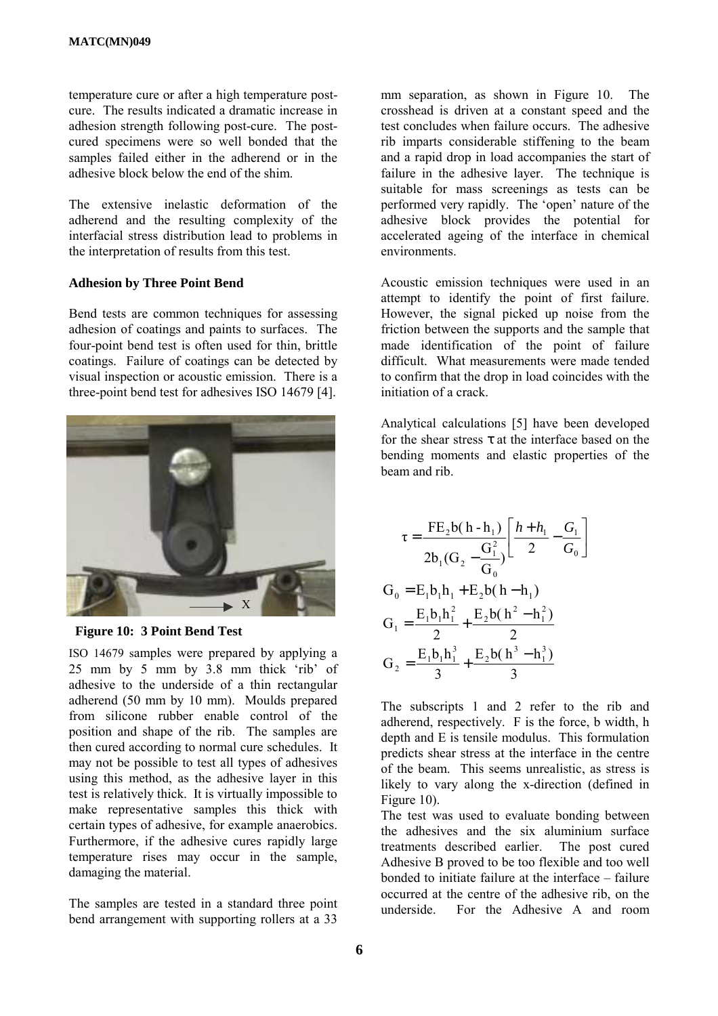temperature cure or after a high temperature postcure. The results indicated a dramatic increase in adhesion strength following post-cure. The postcured specimens were so well bonded that the samples failed either in the adherend or in the adhesive block below the end of the shim.

The extensive inelastic deformation of the adherend and the resulting complexity of the interfacial stress distribution lead to problems in the interpretation of results from this test.

## **Adhesion by Three Point Bend**

Bend tests are common techniques for assessing adhesion of coatings and paints to surfaces. The four-point bend test is often used for thin, brittle coatings. Failure of coatings can be detected by visual inspection or acoustic emission. There is a three-point bend test for adhesives ISO 14679 [4].



**Figure 10: 3 Point Bend Test**

ISO 14679 samples were prepared by applying a  $25$  mm by  $5$  mm by  $3.8$  mm thick 'rib' of adhesive to the underside of a thin rectangular adherend (50 mm by 10 mm). Moulds prepared from silicone rubber enable control of the position and shape of the rib. The samples are then cured according to normal cure schedules. It may not be possible to test all types of adhesives using this method, as the adhesive layer in this test is relatively thick. It is virtually impossible to make representative samples this thick with certain types of adhesive, for example anaerobics. Furthermore, if the adhesive cures rapidly large temperature rises may occur in the sample, damaging the material.

The samples are tested in a standard three point bend arrangement with supporting rollers at a 33 mm separation, as shown in Figure 10. The crosshead is driven at a constant speed and the test concludes when failure occurs. The adhesive rib imparts considerable stiffening to the beam and a rapid drop in load accompanies the start of failure in the adhesive layer. The technique is suitable for mass screenings as tests can be performed very rapidly. The 'open' nature of the adhesive block provides the potential for accelerated ageing of the interface in chemical environments.

Acoustic emission techniques were used in an attempt to identify the point of first failure. However, the signal picked up noise from the friction between the supports and the sample that made identification of the point of failure difficult. What measurements were made tended to confirm that the drop in load coincides with the initiation of a crack.

Analytical calculations [5] have been developed for the shear stress  $\tau$  at the interface based on the bending moments and elastic properties of the beam and rib.

$$
\tau = \frac{FE_2b(h - h_1)}{2b_1(G_2 - \frac{G_1^2}{G_0})} \left[ \frac{h + h_1}{2} - \frac{G_1}{G_0} \right]
$$
  
\n
$$
G_0 = E_1b_1h_1 + E_2b(h - h_1)
$$
  
\n
$$
G_1 = \frac{E_1b_1h_1^2}{2} + \frac{E_2b(h^2 - h_1^2)}{2}
$$
  
\n
$$
G_2 = \frac{E_1b_1h_1^3}{3} + \frac{E_2b(h^3 - h_1^3)}{3}
$$

The subscripts 1 and 2 refer to the rib and adherend, respectively. F is the force, b width, h depth and E is tensile modulus. This formulation predicts shear stress at the interface in the centre of the beam. This seems unrealistic, as stress is likely to vary along the x-direction (defined in Figure 10).

The test was used to evaluate bonding between the adhesives and the six aluminium surface treatments described earlier. The post cured Adhesive B proved to be too flexible and too well bonded to initiate failure at the interface  $-$  failure occurred at the centre of the adhesive rib, on the underside. For the Adhesive A and room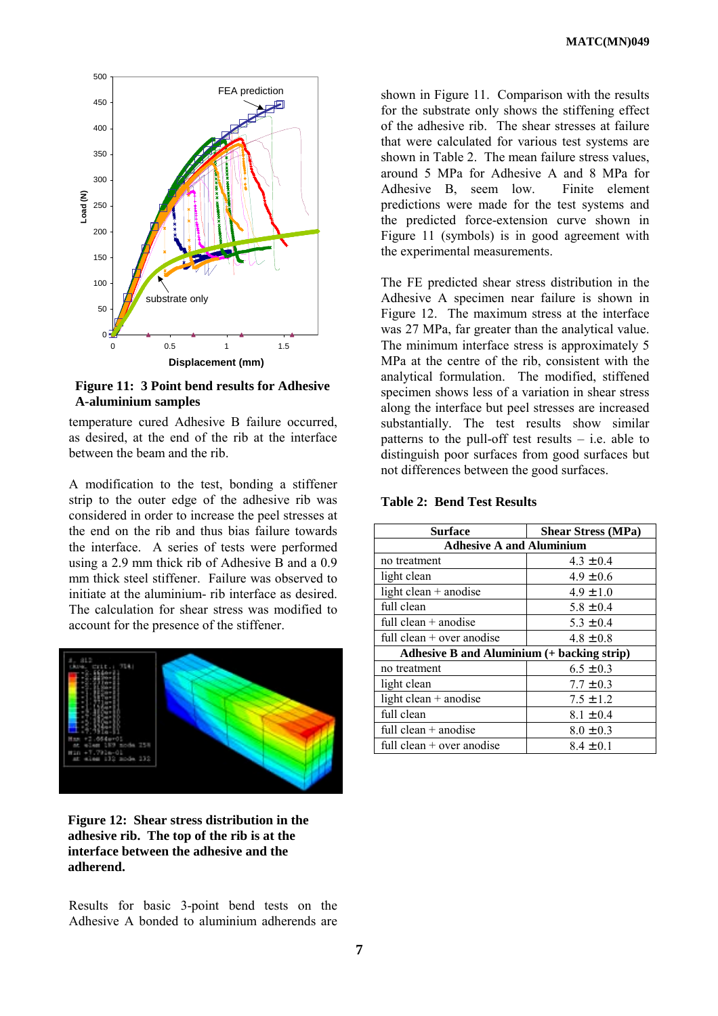

**Figure 11: 3 Point bend results for Adhesive A-aluminium samples**

temperature cured Adhesive B failure occurred, as desired, at the end of the rib at the interface between the beam and the rib.

A modification to the test, bonding a stiffener strip to the outer edge of the adhesive rib was considered in order to increase the peel stresses at the end on the rib and thus bias failure towards the interface. A series of tests were performed using a 2.9 mm thick rib of Adhesive B and a 0.9 mm thick steel stiffener. Failure was observed to initiate at the aluminium- rib interface as desired. The calculation for shear stress was modified to account for the presence of the stiffener.



**Figure 12: Shear stress distribution in the adhesive rib. The top of the rib is at the interface between the adhesive and the adherend.**

Results for basic 3-point bend tests on the Adhesive A bonded to aluminium adherends are shown in Figure 11. Comparison with the results for the substrate only shows the stiffening effect of the adhesive rib. The shear stresses at failure that were calculated for various test systems are shown in Table 2. The mean failure stress values, around 5 MPa for Adhesive A and 8 MPa for Adhesive B, seem low. Finite element predictions were made for the test systems and the predicted force-extension curve shown in Figure 11 (symbols) is in good agreement with the experimental measurements.

The FE predicted shear stress distribution in the Adhesive A specimen near failure is shown in Figure 12. The maximum stress at the interface was 27 MPa, far greater than the analytical value. The minimum interface stress is approximately 5 MPa at the centre of the rib, consistent with the analytical formulation. The modified, stiffened specimen shows less of a variation in shear stress along the interface but peel stresses are increased substantially. The test results show similar patterns to the pull-off test results  $-$  i.e. able to distinguish poor surfaces from good surfaces but not differences between the good surfaces.

| <b>Surface</b>                                    | <b>Shear Stress (MPa)</b> |
|---------------------------------------------------|---------------------------|
| <b>Adhesive A and Aluminium</b>                   |                           |
| no treatment                                      | $4.3 \pm 0.4$             |
| light clean                                       | $4.9 \pm 0.6$             |
| light clean $+$ anodise                           | $4.9 \pm 1.0$             |
| full clean                                        | $5.8 \pm 0.4$             |
| full clean $+$ anodise                            | $5.3 \pm 0.4$             |
| full clean $+$ over anodise                       | $4.8 \pm 0.8$             |
| <b>Adhesive B and Aluminium (+ backing strip)</b> |                           |
| no treatment                                      | $6.5 \pm 0.3$             |
| light clean                                       | $7.7 \pm 0.3$             |
| light clean $+$ anodise                           | $7.5 \pm 1.2$             |
| full clean                                        | $8.1 \pm 0.4$             |
| full clean $+$ anodise                            | $8.0 \pm 0.3$             |
| full clean $+$ over anodise                       | $8.4 \pm 0.1$             |

## **Table 2: Bend Test Results**